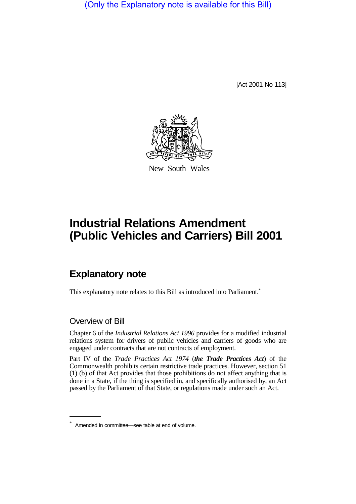(Only the Explanatory note is available for this Bill)

[Act 2001 No 113]



New South Wales

## **Industrial Relations Amendment (Public Vehicles and Carriers) Bill 2001**

## **Explanatory note**

This explanatory note relates to this Bill as introduced into Parliament.<sup>\*</sup>

## Overview of Bill

Chapter 6 of the *Industrial Relations Act 1996* provides for a modified industrial relations system for drivers of public vehicles and carriers of goods who are engaged under contracts that are not contracts of employment.

Part IV of the *Trade Practices Act 1974* (*the Trade Practices Act*) of the Commonwealth prohibits certain restrictive trade practices. However, section 51 (1) (b) of that Act provides that those prohibitions do not affect anything that is done in a State, if the thing is specified in, and specifically authorised by, an Act passed by the Parliament of that State, or regulations made under such an Act.

<sup>\*</sup> Amended in committee—see table at end of volume.